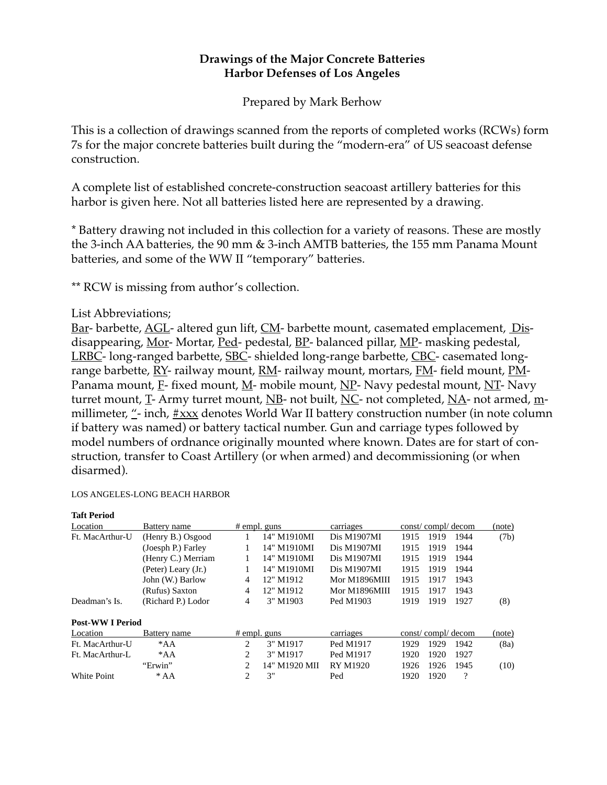# **Drawings of the Major Concrete Batteries Harbor Defenses of Los Angeles**

Prepared by Mark Berhow

This is a collection of drawings scanned from the reports of completed works (RCWs) form 7s for the major concrete batteries built during the "modern-era" of US seacoast defense construction.

A complete list of established concrete-construction seacoast artillery batteries for this harbor is given here. Not all batteries listed here are represented by a drawing.

\* Battery drawing not included in this collection for a variety of reasons. These are mostly the 3-inch AA batteries, the 90 mm & 3-inch AMTB batteries, the 155 mm Panama Mount batteries, and some of the WW II "temporary" batteries.

\*\* RCW is missing from author's collection.

## List Abbreviations;

Bar- barbette, AGL- altered gun lift, CM- barbette mount, casemated emplacement, Disdisappearing, Mor- Mortar, Ped- pedestal, BP- balanced pillar, MP- masking pedestal, LRBC- long-ranged barbette, SBC- shielded long-range barbette, CBC- casemated longrange barbette, RY- railway mount, RM- railway mount, mortars, FM- field mount, PM-Panama mount,  $E$ - fixed mount,  $M$ - mobile mount,  $NP$ - Navy pedestal mount,  $NT$ - Navy turret mount, T- Army turret mount, NB- not built, NC- not completed, NA- not armed, mmillimeter,  $\frac{m}{r}$ - inch,  $\frac{m}{r}$  denotes World War II battery construction number (in note column if battery was named) or battery tactical number. Gun and carriage types followed by model numbers of ordnance originally mounted where known. Dates are for start of construction, transfer to Coast Artillery (or when armed) and decommissioning (or when disarmed).

### LOS ANGELES-LONG BEACH HARBOR

| <b>Taft Period</b>    |                     |                |               |                 |                   |      |          |        |
|-----------------------|---------------------|----------------|---------------|-----------------|-------------------|------|----------|--------|
| Location              | Battery name        | $#$ empl. guns |               | carriages       | const/compl/decom |      |          | (note) |
| Ft. MacArthur-U       | (Henry B.) Osgood   |                | 14" M1910MI   | Dis M1907MI     | 1915              | 1919 | 1944     | (7b)   |
|                       | (Joesph P.) Farley  |                | 14" M1910MI   | Dis M1907MI     | 1915              | 1919 | 1944     |        |
|                       | (Henry C.) Merriam  |                | 14" M1910MI   | Dis M1907MI     | 1915              | 1919 | 1944     |        |
|                       | (Peter) Leary (Jr.) |                | 14" M1910MI   | Dis M1907MI     | 1915              | 1919 | 1944     |        |
|                       | John (W.) Barlow    | 4              | 12" M1912     | Mor M1896MIII   | 1915              | 1917 | 1943     |        |
|                       | (Rufus) Saxton      | $\overline{4}$ | 12" M1912     | Mor M1896MIII   | 1915              | 1917 | 1943     |        |
| Deadman's Is.         | (Richard P.) Lodor  | 4              | 3" M1903      | Ped M1903       | 1919              | 1919 | 1927     | (8)    |
| <b>Post-WWIPeriod</b> |                     |                |               |                 |                   |      |          |        |
| Location              | Battery name        | $#$ empl. guns |               | carriages       | const/compl/decom |      | (note)   |        |
| Ft. MacArthur-U       | $^*AA$              | 2              | 3" M1917      | Ped M1917       | 1929              | 1929 | 1942     | (8a)   |
| Ft. MacArthur-L       | $*AA$               | 2              | 3" M1917      | Ped M1917       | 1920              | 1920 | 1927     |        |
|                       | "Erwin"             | 2              | 14" M1920 MII | <b>RY M1920</b> | 1926              | 1926 | 1945     | (10)   |
| <b>White Point</b>    | $*AA$               | 2              | 3"            | Ped             | 1920              | 1920 | $\gamma$ |        |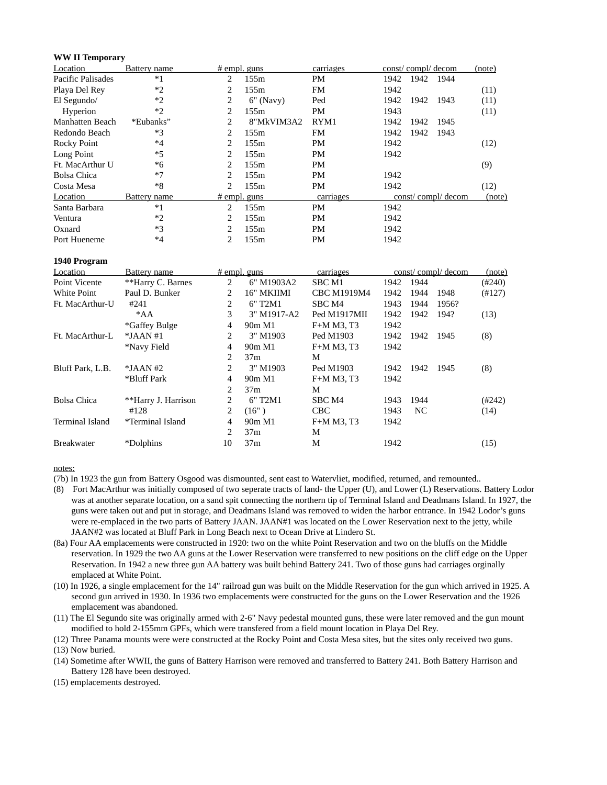#### **WW II Temporary**

| Location          | Battery name | $#$ empl. guns |             | carriages |      | const/compl/decom |                   | (note) |
|-------------------|--------------|----------------|-------------|-----------|------|-------------------|-------------------|--------|
| Pacific Palisades | $*1$         | 2              | 155m        | PM        | 1942 | 1942              | 1944              |        |
| Playa Del Rey     | $*2$         | 2              | 155m        | <b>FM</b> | 1942 |                   |                   | (11)   |
| El Segundo/       | $*2$         | 2              | $6"$ (Navy) | Ped       | 1942 | 1942              | 1943              | (11)   |
| Hyperion          | $*2$         | 2.             | 155m        | PM        | 1943 |                   |                   | (11)   |
| Manhatten Beach   | *Eubanks"    | 2              | 8"MkVIM3A2  | RYM1      | 1942 | 1942              | 1945              |        |
| Redondo Beach     | $*3$         | 2.             | 155m        | <b>FM</b> | 1942 | 1942              | 1943              |        |
| Rocky Point       | $*4$         | 2.             | 155m        | PМ        | 1942 |                   |                   | (12)   |
| Long Point        | $*5$         | 2.             | 155m        | PM        | 1942 |                   |                   |        |
| Ft. MacArthur U   | *6           | 2              | 155m        | PM        |      |                   |                   | (9)    |
| Bolsa Chica       | $*7$         | 2              | 155m        | <b>PM</b> | 1942 |                   |                   |        |
| Costa Mesa        | $*8$         | 2              | 155m        | PM        | 1942 |                   |                   | (12)   |
| Location          | Battery name | $#$ empl. guns |             | carriages |      |                   | const/compl/decom | (note) |
| Santa Barbara     | $*1$         | 2              | 155m        | PM        | 1942 |                   |                   |        |
| Ventura           | $*2$         | 2              | 155m        | <b>PM</b> | 1942 |                   |                   |        |
| Oxnard            | $*3$         | 2              | 155m        | <b>PM</b> | 1942 |                   |                   |        |
| Port Hueneme      | $*4$         | 2              | 155m        | PM        | 1942 |                   |                   |        |

#### **1940 Program**

| Location          | Battery name        |    | $#$ empl. guns                   | carriages          |      |      | const/compl/decom | (note)           |
|-------------------|---------------------|----|----------------------------------|--------------------|------|------|-------------------|------------------|
| Point Vicente     | **Harry C. Barnes   | 2  | 6" M1903A2                       | SBC M1             | 1942 | 1944 |                   | $(\text{\#}240)$ |
| White Point       | Paul D. Bunker      | 2  | 16" MKIIMI                       | <b>CBC M1919M4</b> | 1942 | 1944 | 1948              | (#127)           |
| Ft. MacArthur-U   | #241                | 2  | 6" T <sub>2</sub> M <sub>1</sub> | SBC M4             | 1943 | 1944 | 1956?             |                  |
|                   | $^*AA$              | 3  | 3" M1917-A2                      | Ped M1917MII       | 1942 | 1942 | 194?              | (13)             |
|                   | *Gaffey Bulge       | 4  | 90m M1                           | F+M M3, T3         | 1942 |      |                   |                  |
| Ft. MacArthur-L   | $*JAAN#1$           | 2  | 3" M1903                         | Ped M1903          | 1942 | 1942 | 1945              | (8)              |
|                   | *Navy Field         | 4  | 90m M1                           | F+M M3, T3         | 1942 |      |                   |                  |
|                   |                     | 2  | 37m                              | М                  |      |      |                   |                  |
| Bluff Park, L.B.  | $*JAAN #2$          | 2  | 3" M1903                         | Ped M1903          | 1942 | 1942 | 1945              | (8)              |
|                   | *Bluff Park         | 4  | 90m M1                           | F+M M3, T3         | 1942 |      |                   |                  |
|                   |                     | 2  | 37m                              | М                  |      |      |                   |                  |
| Bolsa Chica       | **Harry J. Harrison | 2  | 6" T <sub>2</sub> M <sub>1</sub> | SBC M4             | 1943 | 1944 |                   | (H242)           |
|                   | #128                | 2  | (16")                            | CBC                | 1943 | NC.  |                   | (14)             |
| Terminal Island   | *Terminal Island    | 4  | 90m M1                           | F+M M3, T3         | 1942 |      |                   |                  |
|                   |                     | 2  | 37m                              | М                  |      |      |                   |                  |
| <b>Breakwater</b> | *Dolphins           | 10 | 37m                              | М                  | 1942 |      |                   | (15)             |

#### notes:

(7b) In 1923 the gun from Battery Osgood was dismounted, sent east to Watervliet, modified, returned, and remounted..

- (8) Fort MacArthur was initially composed of two seperate tracts of land- the Upper (U), and Lower (L) Reservations. Battery Lodor was at another separate location, on a sand spit connecting the northern tip of Terminal Island and Deadmans Island. In 1927, the guns were taken out and put in storage, and Deadmans Island was removed to widen the harbor entrance. In 1942 Lodor's guns were re-emplaced in the two parts of Battery JAAN. JAAN#1 was located on the Lower Reservation next to the jetty, while JAAN#2 was located at Bluff Park in Long Beach next to Ocean Drive at Lindero St.
- (8a) Four AA emplacements were constructed in 1920: two on the white Point Reservation and two on the bluffs on the Middle reservation. In 1929 the two AA guns at the Lower Reservation were transferred to new positions on the cliff edge on the Upper Reservation. In 1942 a new three gun AA battery was built behind Battery 241. Two of those guns had carriages orginally emplaced at White Point.
- (10) In 1926, a single emplacement for the 14" railroad gun was built on the Middle Reservation for the gun which arrived in 1925. A second gun arrived in 1930. In 1936 two emplacements were constructed for the guns on the Lower Reservation and the 1926 emplacement was abandoned.
- (11) The El Segundo site was originally armed with 2-6" Navy pedestal mounted guns, these were later removed and the gun mount modified to hold 2-155mm GPFs, which were transfered from a field mount location in Playa Del Rey.

(12) Three Panama mounts were were constructed at the Rocky Point and Costa Mesa sites, but the sites only received two guns.

(13) Now buried.

- (14) Sometime after WWII, the guns of Battery Harrison were removed and transferred to Battery 241. Both Battery Harrison and Battery 128 have been destroyed.
- (15) emplacements destroyed.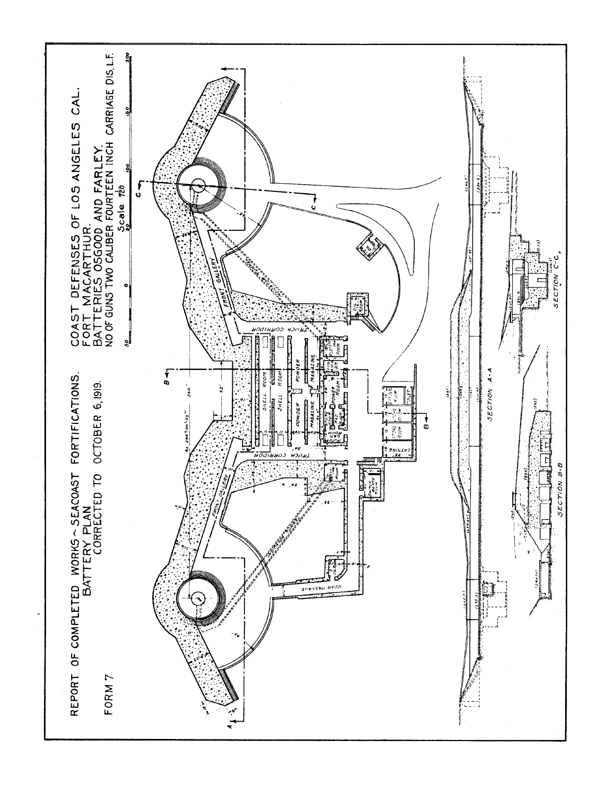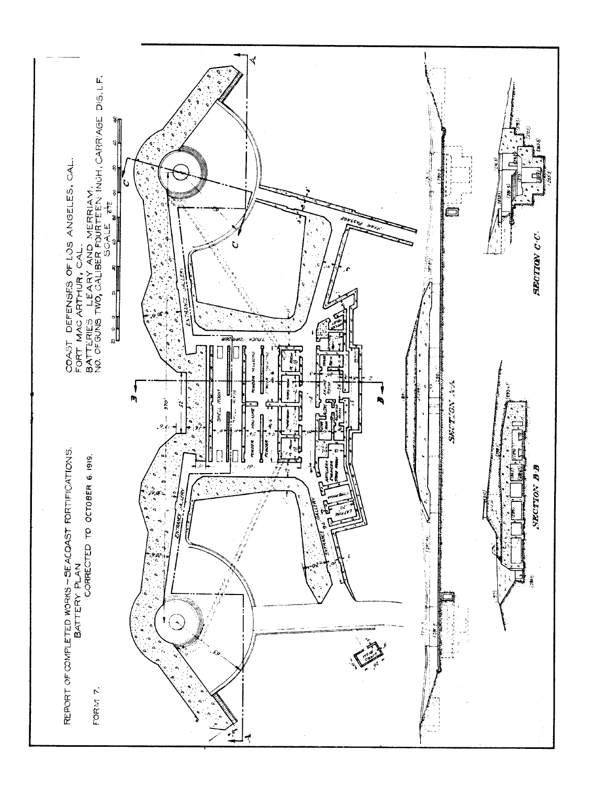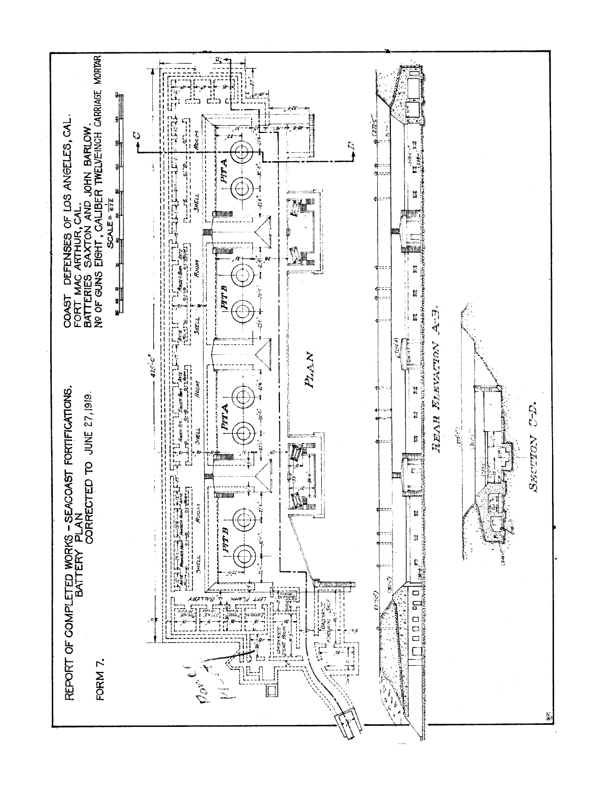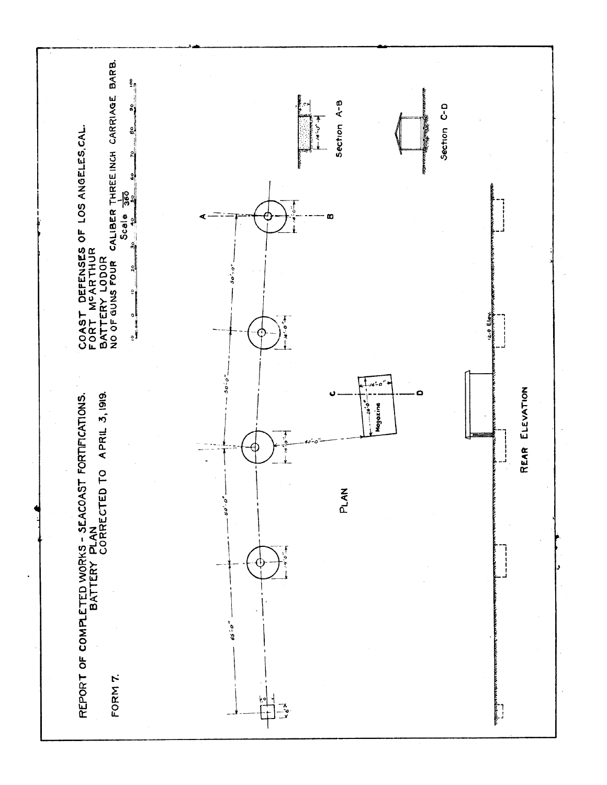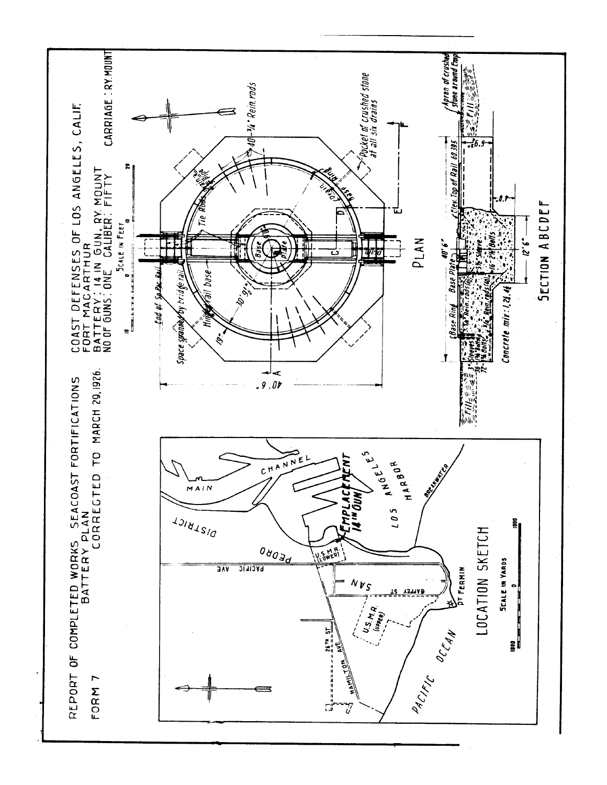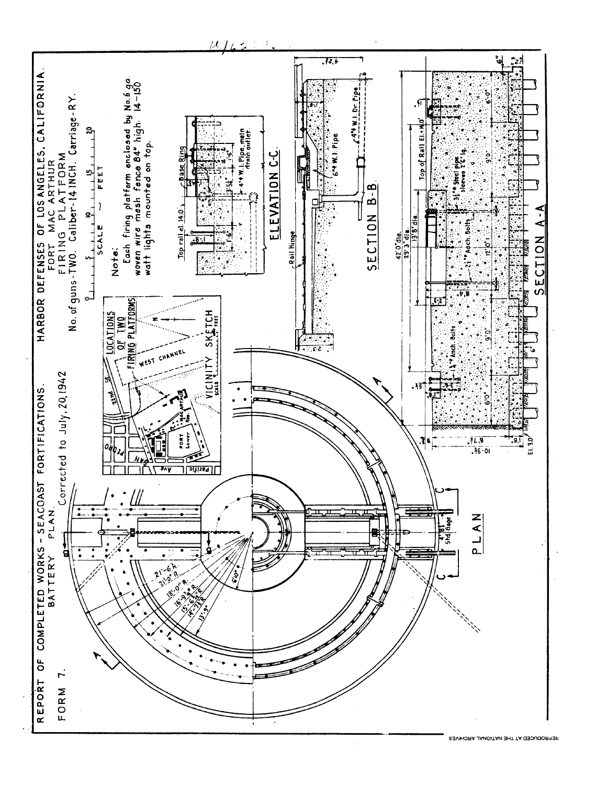

IJ,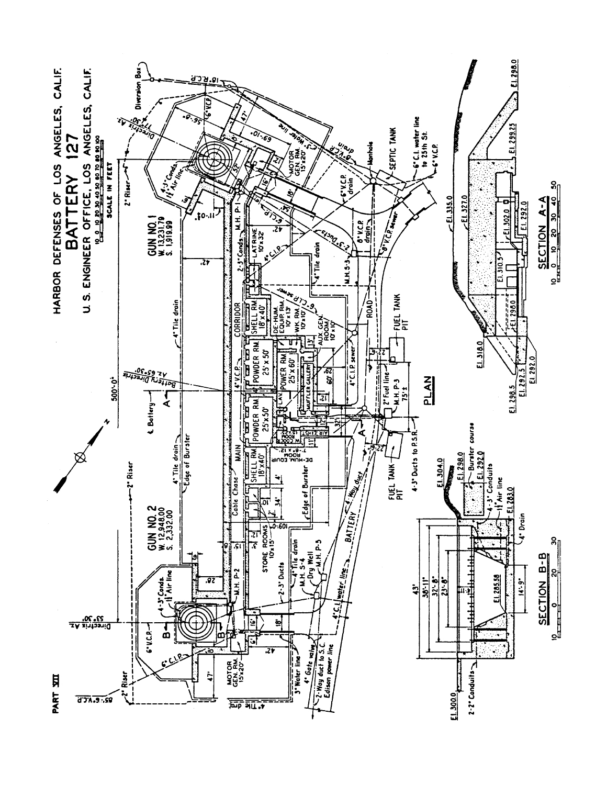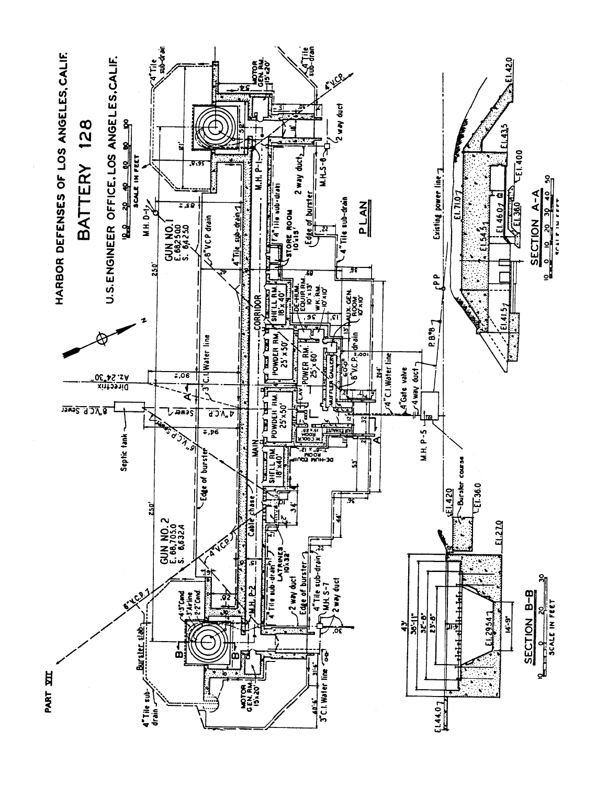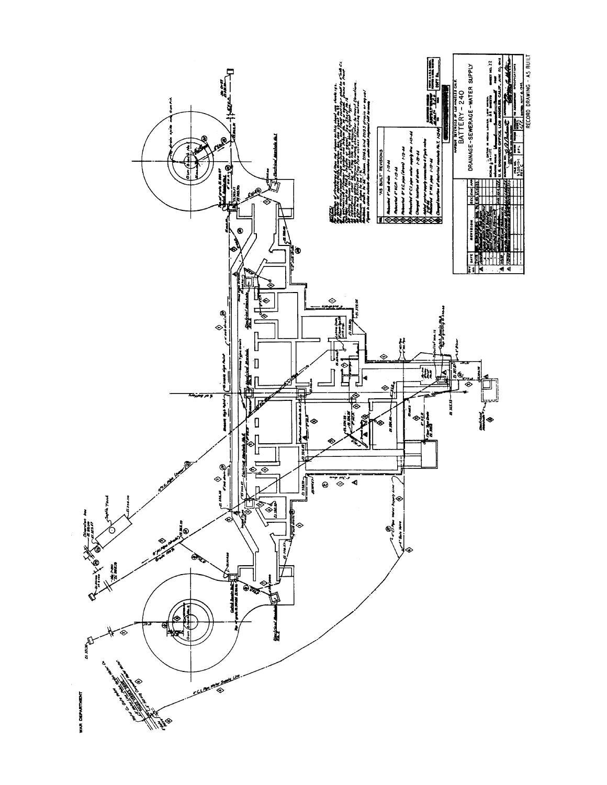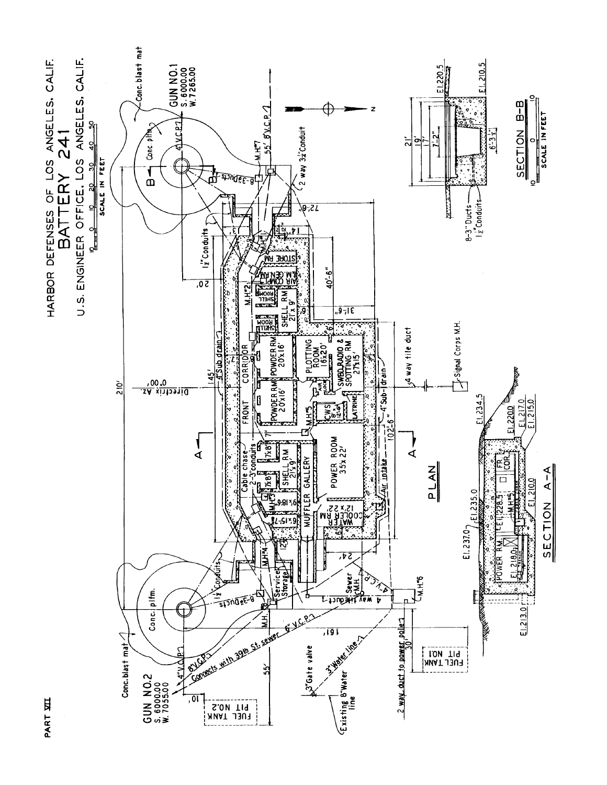